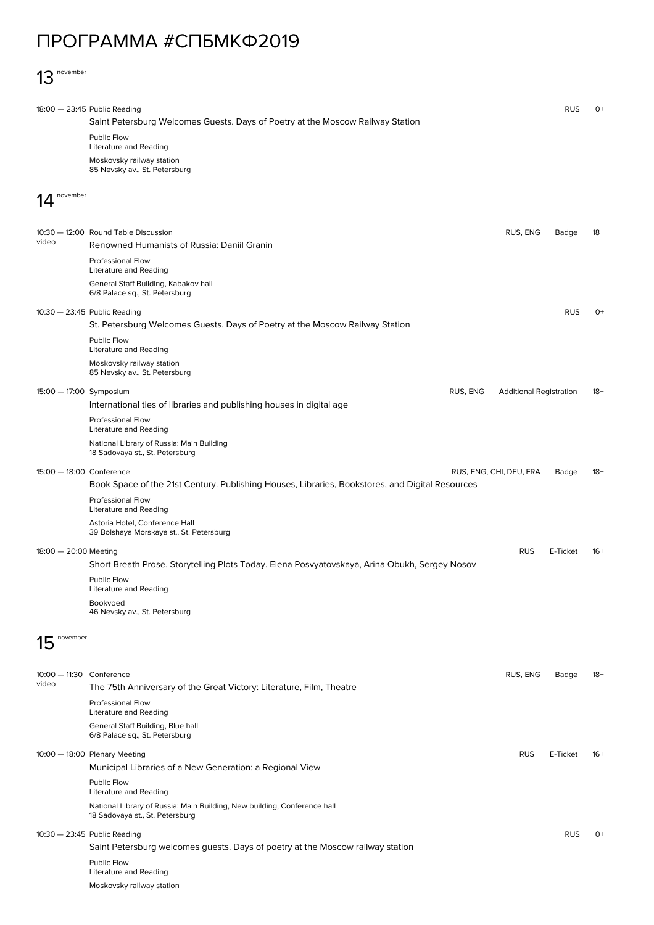## ПРОГРАММА #СПБМКФ2019

## 13 november

|                                                          | $18:00 - 23:45$ Public Reading                                                                              |                                | <b>RUS</b> | $O+$  |
|----------------------------------------------------------|-------------------------------------------------------------------------------------------------------------|--------------------------------|------------|-------|
|                                                          | Saint Petersburg Welcomes Guests. Days of Poetry at the Moscow Railway Station                              |                                |            |       |
|                                                          | <b>Public Flow</b><br>Literature and Reading                                                                |                                |            |       |
|                                                          | Moskovsky railway station<br>85 Nevsky av., St. Petersburg                                                  |                                |            |       |
| november                                                 |                                                                                                             |                                |            |       |
|                                                          |                                                                                                             |                                |            |       |
| video                                                    | 10:30 - 12:00 Round Table Discussion<br>Renowned Humanists of Russia: Daniil Granin                         | RUS, ENG                       | Badge      | 18+   |
|                                                          | Professional Flow                                                                                           |                                |            |       |
|                                                          | <b>Literature and Reading</b>                                                                               |                                |            |       |
|                                                          | General Staff Building, Kabakov hall<br>6/8 Palace sq., St. Petersburg                                      |                                |            |       |
|                                                          | 10:30 - 23:45 Public Reading                                                                                |                                | <b>RUS</b> | $O+$  |
|                                                          | St. Petersburg Welcomes Guests. Days of Poetry at the Moscow Railway Station                                |                                |            |       |
|                                                          | Public Flow                                                                                                 |                                |            |       |
|                                                          | Literature and Reading                                                                                      |                                |            |       |
|                                                          | Moskovsky railway station<br>85 Nevsky av., St. Petersburg                                                  |                                |            |       |
| 15:00 - 17:00 Symposium                                  | RUS, ENG                                                                                                    | <b>Additional Registration</b> |            | $18+$ |
|                                                          | International ties of libraries and publishing houses in digital age                                        |                                |            |       |
|                                                          | Professional Flow<br><b>Literature and Reading</b>                                                          |                                |            |       |
|                                                          | National Library of Russia: Main Building<br>18 Sadovaya st., St. Petersburg                                |                                |            |       |
| 15:00 - 18:00 Conference                                 |                                                                                                             | RUS, ENG, CHI, DEU, FRA        | Badge      | $18+$ |
|                                                          | Book Space of the 21st Century. Publishing Houses, Libraries, Bookstores, and Digital Resources             |                                |            |       |
|                                                          | Professional Flow<br><b>Literature and Reading</b>                                                          |                                |            |       |
|                                                          | Astoria Hotel, Conference Hall<br>39 Bolshaya Morskaya st., St. Petersburg                                  |                                |            |       |
| 18:00 - 20:00 Meeting<br><b>RUS</b><br>E-Ticket<br>$16+$ |                                                                                                             |                                |            |       |
|                                                          | Short Breath Prose. Storytelling Plots Today. Elena Posvyatovskaya, Arina Obukh, Sergey Nosov               |                                |            |       |
|                                                          | Public Flow<br>Literature and Reading                                                                       |                                |            |       |
|                                                          | Bookvoed<br>46 Nevsky av., St. Petersburg                                                                   |                                |            |       |
| november<br>15                                           |                                                                                                             |                                |            |       |
|                                                          |                                                                                                             |                                |            |       |
| 10:00 - 11:30 Conference                                 |                                                                                                             | RUS, ENG                       | Badge      | $18+$ |
| video                                                    | The 75th Anniversary of the Great Victory: Literature, Film, Theatre                                        |                                |            |       |
|                                                          | <b>Professional Flow</b><br><b>Literature and Reading</b>                                                   |                                |            |       |
|                                                          | General Staff Building, Blue hall<br>6/8 Palace sq., St. Petersburg                                         |                                |            |       |
|                                                          | 10:00 - 18:00 Plenary Meeting                                                                               | <b>RUS</b>                     | E-Ticket   | $16+$ |
|                                                          | Municipal Libraries of a New Generation: a Regional View                                                    |                                |            |       |
|                                                          | Public Flow<br>Literature and Reading                                                                       |                                |            |       |
|                                                          | National Library of Russia: Main Building, New building, Conference hall<br>18 Sadovaya st., St. Petersburg |                                |            |       |
|                                                          | 10:30 - 23:45 Public Reading                                                                                |                                | <b>RUS</b> | $O+$  |
|                                                          | Saint Petersburg welcomes guests. Days of poetry at the Moscow railway station                              |                                |            |       |
|                                                          | Public Flow<br><b>Literature and Reading</b>                                                                |                                |            |       |
|                                                          | Moskovsky railway station                                                                                   |                                |            |       |